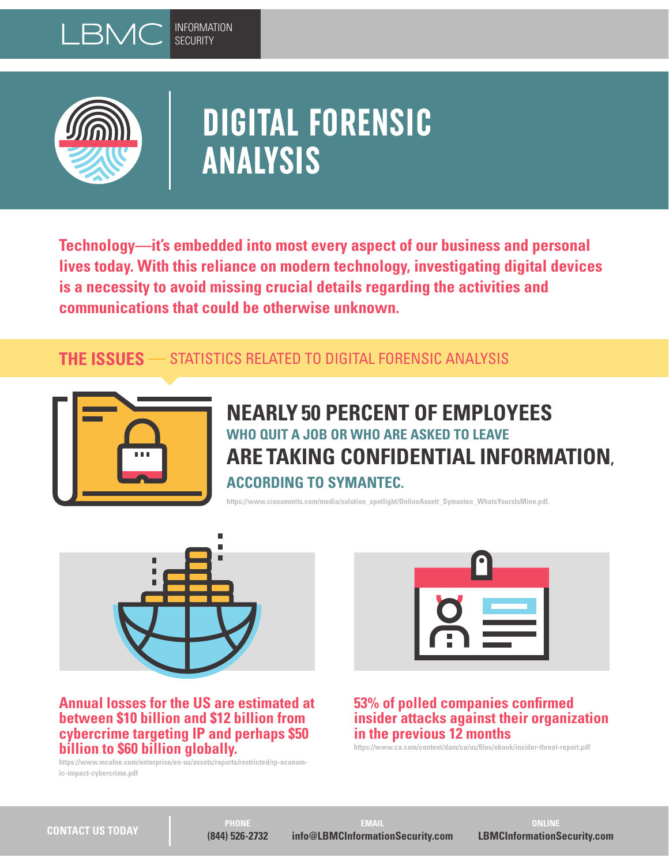



# **DIGITAL FORENSIC ANALYSIS**

**Technology—it's embedded into most every aspect of our business and personal lives today. With this reliance on modern technology, investigating digital devices is a necessity to avoid missing crucial details regarding the activities and communications that could be otherwise unknown.**

# **THE ISSUES —** STATISTICS RELATED TO DIGITAL FORENSIC ANALYSIS



**NEARLY 50 PERCENT OF EMPLOYEES WHO QUIT A JOB OR WHO ARE ASKED TO LEAVE ARE TAKING CONFIDENTIAL INFORMATION, ACCORDING TO SYMANTEC.** 

**https://www.ciosummits.com/media/solution\_spotlight/OnlineAssett\_Symantec\_WhatsYoursIsMine.pdf.**



**Annual losses for the US are estimated at between \$10 billion and \$12 billion from cybercrime targeting IP and perhaps \$50 billion to \$60 billion globally.**

**https://www.mcafee.com/enterprise/en-us/assets/reports/restricted/rp-economic-impact-cybercrime.pdf**



## **53% of polled companies confirmed insider attacks against their organization in the previous 12 months**

**https://www.ca.com/content/dam/ca/us/files/ebook/insider-threat-report.pdf**

**PHONE (844) 526-2732**

**EMAIL info@LBMCInformationSecurity.com**